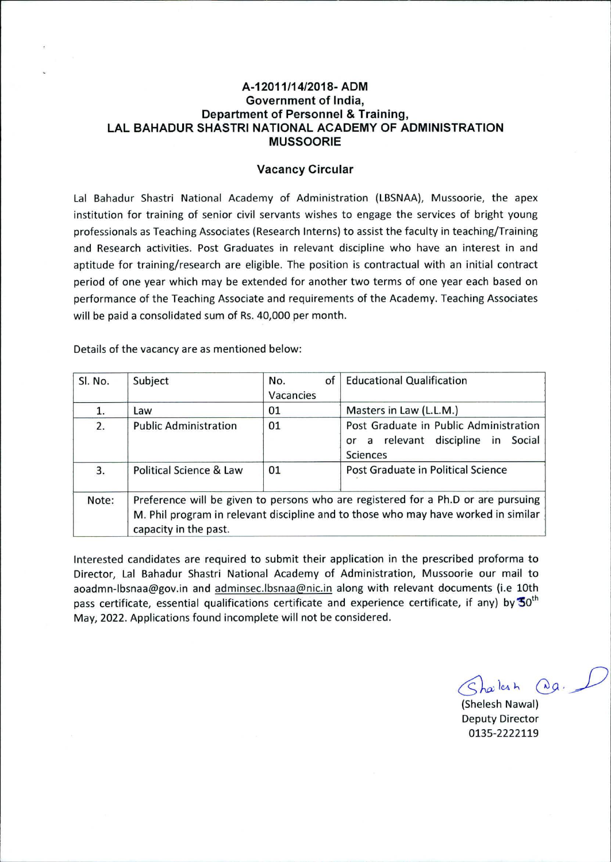### **A-12011/14/2018- ADM Government of India, Department of Personnel & Training, LAL BAHADUR SHASTRI NATIONAL ACADEMY OF ADMINISTRATION MUSSOORIE**

#### **Vacancy Circular**

Lal Bahadur Shastri National Academy of Administration (LBSNAA), Mussoorie, the apex institution for training of senior civil servants wishes to engage the services of bright young professionals as Teaching Associates (Research Interns) to assist the faculty in teaching/Training and Research activities. Post Graduates in relevant discipline who have an interest in and aptitude for training/research are eligible. The position is contractual with an initial contract period of one year which may be extended for another two terms of one year each based on performance of the Teaching Associate and requirements of the Academy. Teaching Associates will be paid a consolidated sum of Rs. 40,000 per month.

Details of the vacancy are as mentioned below:

| Sl. No. | Subject                                                                                                                                                                                          | of<br>No. | <b>Educational Qualification</b>       |  |  |  |
|---------|--------------------------------------------------------------------------------------------------------------------------------------------------------------------------------------------------|-----------|----------------------------------------|--|--|--|
|         |                                                                                                                                                                                                  | Vacancies |                                        |  |  |  |
| 1.      | Law                                                                                                                                                                                              | 01        | Masters in Law (L.L.M.)                |  |  |  |
| 2.      | <b>Public Administration</b>                                                                                                                                                                     | 01        | Post Graduate in Public Administration |  |  |  |
|         |                                                                                                                                                                                                  |           | or a relevant discipline in Social     |  |  |  |
|         |                                                                                                                                                                                                  |           | Sciences                               |  |  |  |
| 3.      | Political Science & Law                                                                                                                                                                          | 01        | Post Graduate in Political Science     |  |  |  |
| Note:   | Preference will be given to persons who are registered for a Ph.D or are pursuing<br>M. Phil program in relevant discipline and to those who may have worked in similar<br>capacity in the past. |           |                                        |  |  |  |
|         |                                                                                                                                                                                                  |           |                                        |  |  |  |

Interested candidates are required to submit their application in the prescribed proforma to Director, Lal Bahadur Shastri National Academy of Administration, Mussoorie our mail to aoadmn-lbsnaa@gov.in and adminsec.lbsnaa@nic.in along with relevant documents (i.e 10th pass certificate, essential qualifications certificate and experience certificate, if any) by  $50^{\text{th}}$ May, 2022. Applications found incomplete will not be considered.

 $Shabah$   $Qa.$ 

(Shelesh Nawal) Deputy Director 0135-2222119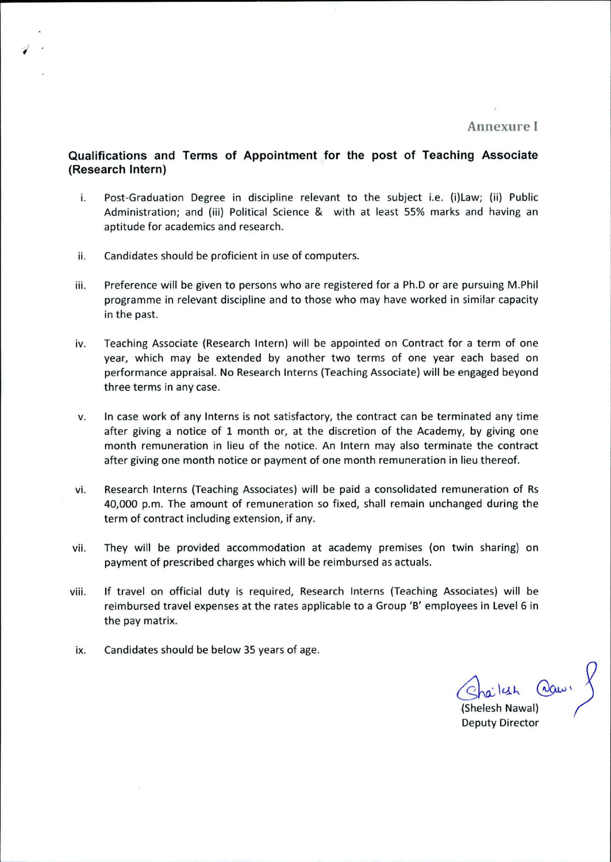Annexure I

## **Qualifications and Terms of Appointment for the post of Teaching Associate (Research Intern)**

- Post-Graduation Degree in discipline relevant to the subject i.e. (i)Law; (ii) Public i. Administration; and (iii) Political Science & with at least 55% marks and having an aptitude for academics and research.
- ii. Candidates should be proficient in use of computers.
- Preference will be given to persons who are registered for a Ph.D or are pursuing M.Phil iii. programme in relevant discipline and to those who may have worked in similar capacity in the past.
- iv. Teaching Associate (Research Intern) will be appointed on Contract for a term of one year, which may be extended by another two terms of one year each based on performance appraisal. No Research Interns (Teaching Associate) will be engaged beyond three terms in any case.
- In case work of any Interns is not satisfactory, the contract can be terminated any time v. after giving a notice of 1 month or, at the discretion of the Academy, by giving one month remuneration in lieu of the notice. An Intern may also terminate the contract after giving one month notice or payment of one month remuneration in lieu thereof.
- Research Interns (Teaching Associates) will be paid a consolidated remuneration of Rs vi. 40,000 p.m. The amount of remuneration so fixed, shall remain unchanged during the term of contract including extension, if any.
- They will be provided accommodation at academy premises (on twin sharing) on vii. payment of prescribed charges which will *be* reimbursed as actuals.
- If travel on official duty is required, Research Interns (Teaching Associates) will be viii. reimbursed travel expenses at the rates applicable to a Group **'B'** employees in Level 6 in the pay matrix.
- ix. Candidates should be below 35 years of age.

lesh adam

Shelesh Nawal) Deputy Director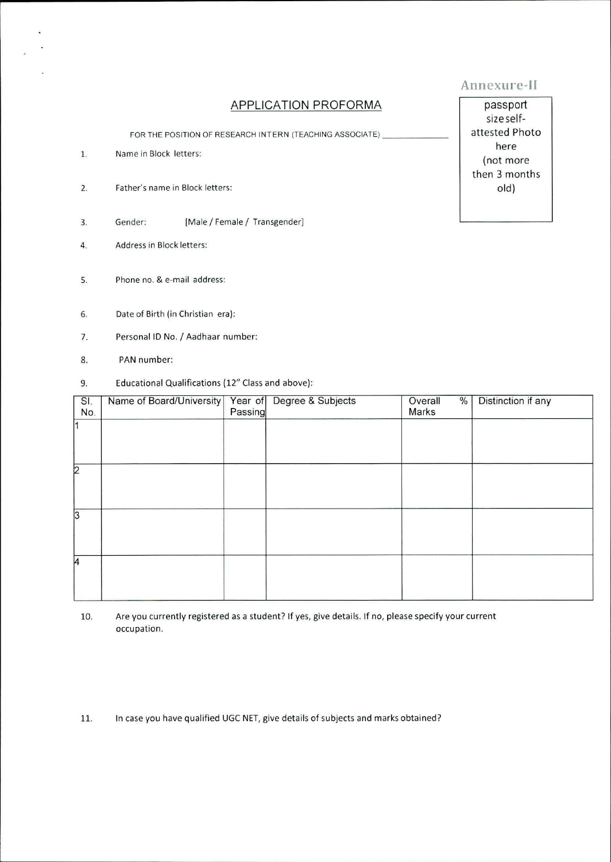# APPLICATION PROFORMA

FOR THE POSITION OF RESEARCH INTERN (TEACHING ASSOCIATE)

- Name in Block letters: 1.
- $2.$ Father's name in Block letters:
- $3.$ Gender: [Male / Female / Transgender]
- 4. Address in Block letters:
- S. Phone no. & e-mail address:
- 6. Date of Birth (in Christian era):
- 7. Personal ID No. / Aadhaar number:
- 8. PAN number:
- 9. Educational Qualifications (12" Class and above):

| SI.<br>No.     | Name of Board/University   Year of | Passing | Degree & Subjects | $\frac{0}{6}$<br>Overall<br>Marks | Distinction if any |
|----------------|------------------------------------|---------|-------------------|-----------------------------------|--------------------|
| $\overline{1}$ |                                    |         |                   |                                   |                    |
| $\overline{2}$ |                                    |         |                   |                                   |                    |
|                |                                    |         |                   |                                   |                    |
| 3              |                                    |         |                   |                                   |                    |
| 4              |                                    |         |                   |                                   |                    |

10. Are you currently registered as a student? If yes, give details. If no, please specify your current occupation.

In case you have qualified UGC NET, give details of subjects and marks obtained? 11.

passport size selfattested Photo here (not more then 3 months old)

Annexure-III